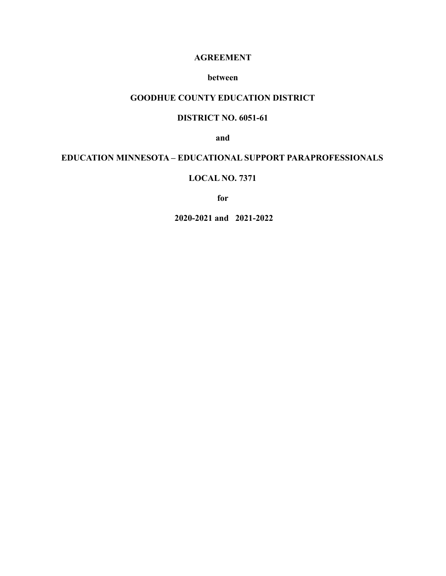#### **AGREEMENT**

#### **between**

#### **GOODHUE COUNTY EDUCATION DISTRICT**

## **DISTRICT NO. 6051-61**

**and**

## **EDUCATION MINNESOTA – EDUCATIONAL SUPPORT PARAPROFESSIONALS**

#### **LOCAL NO. 7371**

**for**

**2020-2021 and 2021-2022**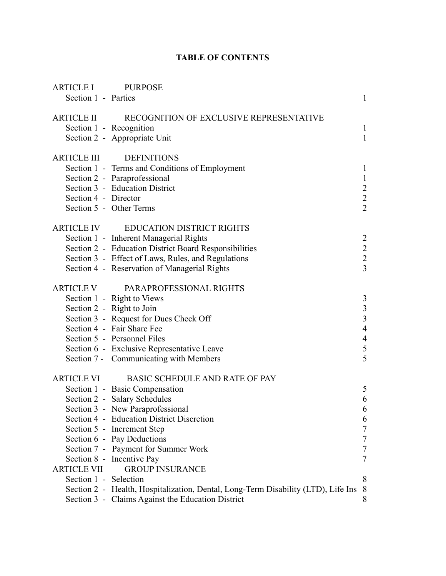# **TABLE OF CONTENTS**

| <b>ARTICLE I</b><br>Section 1 - Parties | <b>PURPOSE</b>                                                                    | $\mathbf{1}$                               |
|-----------------------------------------|-----------------------------------------------------------------------------------|--------------------------------------------|
| <b>ARTICLE II</b>                       | RECOGNITION OF EXCLUSIVE REPRESENTATIVE<br>Section 1 - Recognition                | $\mathbf{1}$                               |
|                                         | Section 2 - Appropriate Unit                                                      | $\mathbf{1}$                               |
| <b>ARTICLE III</b>                      | <b>DEFINITIONS</b>                                                                |                                            |
|                                         | Section 1 - Terms and Conditions of Employment                                    | $\mathbf{1}$                               |
|                                         | Section 2 - Paraprofessional                                                      | $\mathbf{1}$                               |
|                                         | Section 3 - Education District                                                    | $\begin{array}{c} 2 \\ 2 \\ 2 \end{array}$ |
| Section 4 - Director                    |                                                                                   |                                            |
|                                         | Section 5 - Other Terms                                                           |                                            |
| <b>ARTICLE IV</b>                       | <b>EDUCATION DISTRICT RIGHTS</b>                                                  |                                            |
|                                         | Section 1 - Inherent Managerial Rights                                            | $\overline{2}$                             |
|                                         | Section 2 - Education District Board Responsibilities                             | $\begin{array}{c} 2 \\ 2 \\ 3 \end{array}$ |
|                                         | Section 3 - Effect of Laws, Rules, and Regulations                                |                                            |
|                                         | Section 4 - Reservation of Managerial Rights                                      |                                            |
|                                         | ARTICLE V PARAPROFESSIONAL RIGHTS                                                 |                                            |
|                                         | Section 1 - Right to Views                                                        | 3                                          |
|                                         | Section 2 - Right to Join                                                         | $\frac{3}{3}$                              |
|                                         | Section 3 - Request for Dues Check Off                                            |                                            |
|                                         | Section 4 - Fair Share Fee                                                        | $\overline{4}$                             |
|                                         | Section 5 - Personnel Files                                                       | $\overline{4}$                             |
|                                         | Section 6 - Exclusive Representative Leave                                        | 5                                          |
|                                         | Section 7 - Communicating with Members                                            | 5                                          |
| <b>ARTICLE VI</b>                       | BASIC SCHEDULE AND RATE OF PAY                                                    |                                            |
|                                         | Section 1 - Basic Compensation                                                    | 5                                          |
|                                         | Section 2 - Salary Schedules                                                      | 6                                          |
|                                         | Section 3 - New Paraprofessional                                                  | 6                                          |
|                                         | Section 4 - Education District Discretion                                         | 6                                          |
|                                         | Section 5 - Increment Step                                                        | $\tau$                                     |
|                                         | Section 6 - Pay Deductions                                                        | $\overline{7}$                             |
|                                         | Section 7 - Payment for Summer Work                                               | $\tau$                                     |
|                                         | Section 8 - Incentive Pay                                                         | $\overline{7}$                             |
| <b>ARTICLE VII</b>                      | <b>GROUP INSURANCE</b>                                                            |                                            |
| Section 1 - Selection                   |                                                                                   | 8                                          |
|                                         | Section 2 - Health, Hospitalization, Dental, Long-Term Disability (LTD), Life Ins | 8                                          |
|                                         | Section 3 - Claims Against the Education District                                 | 8                                          |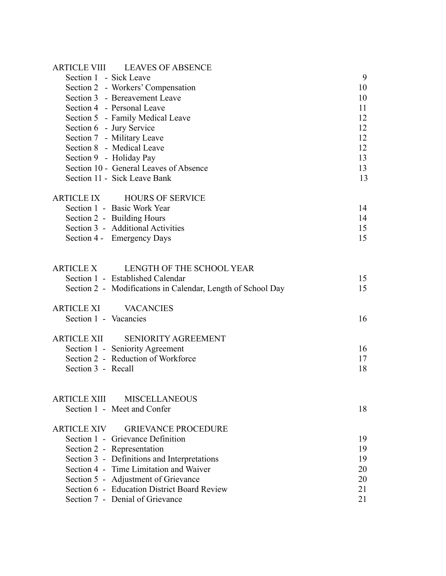|                          | ARTICLE VIII LEAVES OF ABSENCE                                                     |          |
|--------------------------|------------------------------------------------------------------------------------|----------|
| Section 1 - Sick Leave   |                                                                                    | 9        |
|                          | Section 2 - Workers' Compensation                                                  | 10       |
|                          | Section 3 - Bereavement Leave                                                      | 10       |
|                          | Section 4 - Personal Leave                                                         | 11       |
|                          | Section 5 - Family Medical Leave                                                   | 12       |
| Section 6 - Jury Service |                                                                                    | 12       |
|                          | Section 7 - Military Leave                                                         | 12       |
|                          | Section 8 - Medical Leave                                                          | 12       |
|                          | Section 9 - Holiday Pay                                                            | 13       |
|                          | Section 10 - General Leaves of Absence                                             | 13       |
|                          | Section 11 - Sick Leave Bank                                                       | 13       |
|                          | ARTICLE IX HOURS OF SERVICE                                                        |          |
|                          | Section 1 - Basic Work Year                                                        | 14       |
|                          | Section 2 - Building Hours                                                         | 14       |
|                          | Section 3 - Additional Activities                                                  | 15       |
|                          | Section 4 - Emergency Days                                                         | 15       |
|                          |                                                                                    |          |
| <b>ARTICLE X</b>         | LENGTH OF THE SCHOOL YEAR                                                          |          |
|                          | Section 1 - Established Calendar                                                   | 15<br>15 |
|                          | Section 2 - Modifications in Calendar, Length of School Day                        |          |
| <b>ARTICLE XI</b>        | <b>VACANCIES</b>                                                                   |          |
| Section 1 - Vacancies    |                                                                                    | 16       |
| <b>ARTICLE XII</b>       | <b>SENIORITY AGREEMENT</b>                                                         |          |
|                          | Section 1 - Seniority Agreement                                                    | 16       |
|                          | Section 2 - Reduction of Workforce                                                 | 17       |
| Section 3 - Recall       |                                                                                    | 18       |
|                          |                                                                                    |          |
|                          | ARTICLE XIII MISCELLANEOUS                                                         |          |
|                          | Section 1 - Meet and Confer                                                        | 18       |
|                          | ARTICLE XIV GRIEVANCE PROCEDURE                                                    |          |
|                          | Section 1 - Grievance Definition                                                   | 19       |
|                          | Section 2 - Representation                                                         | 19       |
|                          | Section 3 - Definitions and Interpretations                                        | 19       |
|                          | Section 4 - Time Limitation and Waiver                                             | 20       |
|                          | Section 5 - Adjustment of Grievance<br>Section 6 - Education District Board Review | 20       |
|                          |                                                                                    | 21       |
|                          | Section 7 - Denial of Grievance                                                    | 21       |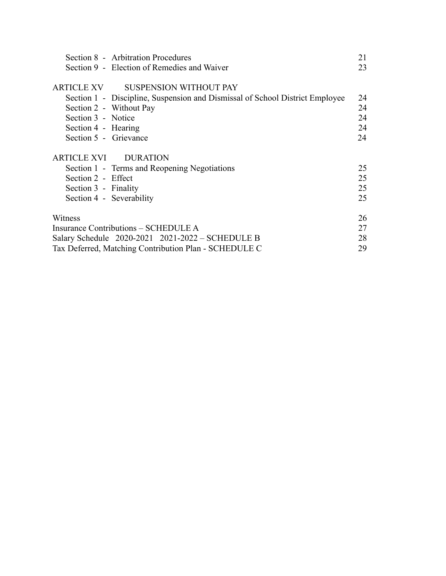|                                                       | Section 8 - Arbitration Procedures                                           | 21 |
|-------------------------------------------------------|------------------------------------------------------------------------------|----|
|                                                       | Section 9 - Election of Remedies and Waiver                                  | 23 |
|                                                       |                                                                              |    |
|                                                       | ARTICLE XV SUSPENSION WITHOUT PAY                                            |    |
|                                                       | Section 1 - Discipline, Suspension and Dismissal of School District Employee | 24 |
|                                                       | Section 2 - Without Pay                                                      | 24 |
| Section 3 - Notice                                    |                                                                              | 24 |
| Section 4 - Hearing                                   |                                                                              | 24 |
| Section 5 - Grievance                                 |                                                                              | 24 |
|                                                       |                                                                              |    |
|                                                       | ARTICLE XVI DURATION                                                         |    |
|                                                       | Section 1 - Terms and Reopening Negotiations                                 | 25 |
| Section 2 - Effect                                    |                                                                              | 25 |
| Section 3 - Finality                                  |                                                                              | 25 |
|                                                       | Section 4 - Severability                                                     | 25 |
|                                                       |                                                                              |    |
| Witness                                               |                                                                              | 26 |
| Insurance Contributions – SCHEDULE A                  |                                                                              | 27 |
| Salary Schedule 2020-2021 2021-2022 – SCHEDULE B      |                                                                              |    |
| Tax Deferred, Matching Contribution Plan - SCHEDULE C |                                                                              |    |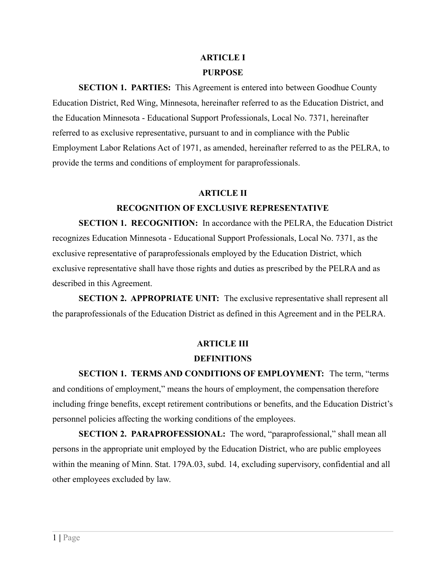# **ARTICLE I PURPOSE**

**SECTION 1. PARTIES:** This Agreement is entered into between Goodhue County Education District, Red Wing, Minnesota, hereinafter referred to as the Education District, and the Education Minnesota - Educational Support Professionals, Local No. 7371, hereinafter referred to as exclusive representative, pursuant to and in compliance with the Public Employment Labor Relations Act of 1971, as amended, hereinafter referred to as the PELRA, to provide the terms and conditions of employment for paraprofessionals.

#### **ARTICLE II**

## **RECOGNITION OF EXCLUSIVE REPRESENTATIVE**

**SECTION 1. RECOGNITION:** In accordance with the PELRA, the Education District recognizes Education Minnesota - Educational Support Professionals, Local No. 7371, as the exclusive representative of paraprofessionals employed by the Education District, which exclusive representative shall have those rights and duties as prescribed by the PELRA and as described in this Agreement.

**SECTION 2. APPROPRIATE UNIT:** The exclusive representative shall represent all the paraprofessionals of the Education District as defined in this Agreement and in the PELRA.

# **ARTICLE III**

#### **DEFINITIONS**

**SECTION 1. TERMS AND CONDITIONS OF EMPLOYMENT:** The term, "terms and conditions of employment," means the hours of employment, the compensation therefore including fringe benefits, except retirement contributions or benefits, and the Education District's personnel policies affecting the working conditions of the employees.

**SECTION 2. PARAPROFESSIONAL:** The word, "paraprofessional," shall mean all persons in the appropriate unit employed by the Education District, who are public employees within the meaning of Minn. Stat. 179A.03, subd. 14, excluding supervisory, confidential and all other employees excluded by law.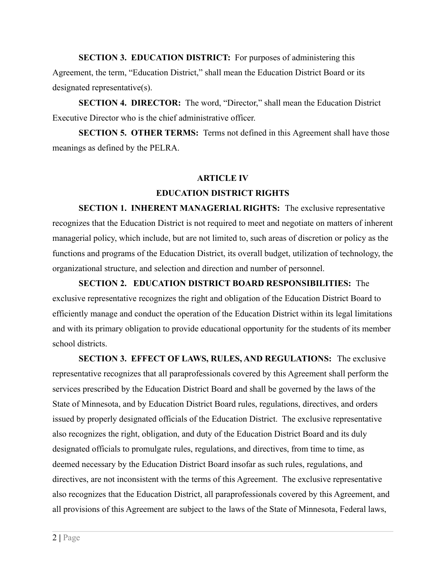**SECTION 3. EDUCATION DISTRICT:** For purposes of administering this Agreement, the term, "Education District," shall mean the Education District Board or its designated representative(s).

**SECTION 4. DIRECTOR:** The word, "Director," shall mean the Education District Executive Director who is the chief administrative officer.

**SECTION 5. OTHER TERMS:** Terms not defined in this Agreement shall have those meanings as defined by the PELRA.

# **ARTICLE IV**

### **EDUCATION DISTRICT RIGHTS**

**SECTION 1. INHERENT MANAGERIAL RIGHTS:** The exclusive representative recognizes that the Education District is not required to meet and negotiate on matters of inherent managerial policy, which include, but are not limited to, such areas of discretion or policy as the functions and programs of the Education District, its overall budget, utilization of technology, the organizational structure, and selection and direction and number of personnel.

**SECTION 2. EDUCATION DISTRICT BOARD RESPONSIBILITIES:** The exclusive representative recognizes the right and obligation of the Education District Board to efficiently manage and conduct the operation of the Education District within its legal limitations and with its primary obligation to provide educational opportunity for the students of its member school districts.

**SECTION 3. EFFECT OF LAWS, RULES, AND REGULATIONS:** The exclusive representative recognizes that all paraprofessionals covered by this Agreement shall perform the services prescribed by the Education District Board and shall be governed by the laws of the State of Minnesota, and by Education District Board rules, regulations, directives, and orders issued by properly designated officials of the Education District. The exclusive representative also recognizes the right, obligation, and duty of the Education District Board and its duly designated officials to promulgate rules, regulations, and directives, from time to time, as deemed necessary by the Education District Board insofar as such rules, regulations, and directives, are not inconsistent with the terms of this Agreement. The exclusive representative also recognizes that the Education District, all paraprofessionals covered by this Agreement, and all provisions of this Agreement are subject to the laws of the State of Minnesota, Federal laws,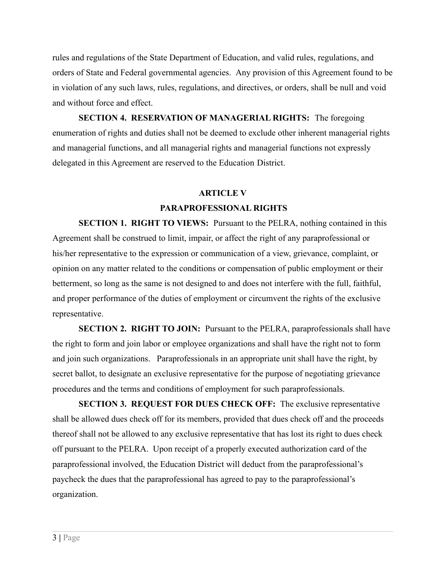rules and regulations of the State Department of Education, and valid rules, regulations, and orders of State and Federal governmental agencies. Any provision of this Agreement found to be in violation of any such laws, rules, regulations, and directives, or orders, shall be null and void and without force and effect.

**SECTION 4. RESERVATION OF MANAGERIAL RIGHTS:** The foregoing enumeration of rights and duties shall not be deemed to exclude other inherent managerial rights and managerial functions, and all managerial rights and managerial functions not expressly delegated in this Agreement are reserved to the Education District.

#### **ARTICLE V**

#### **PARAPROFESSIONAL RIGHTS**

**SECTION 1. RIGHT TO VIEWS:** Pursuant to the PELRA, nothing contained in this Agreement shall be construed to limit, impair, or affect the right of any paraprofessional or his/her representative to the expression or communication of a view, grievance, complaint, or opinion on any matter related to the conditions or compensation of public employment or their betterment, so long as the same is not designed to and does not interfere with the full, faithful, and proper performance of the duties of employment or circumvent the rights of the exclusive representative.

**SECTION 2. RIGHT TO JOIN:** Pursuant to the PELRA, paraprofessionals shall have the right to form and join labor or employee organizations and shall have the right not to form and join such organizations. Paraprofessionals in an appropriate unit shall have the right, by secret ballot, to designate an exclusive representative for the purpose of negotiating grievance procedures and the terms and conditions of employment for such paraprofessionals.

**SECTION 3. REQUEST FOR DUES CHECK OFF:** The exclusive representative shall be allowed dues check off for its members, provided that dues check off and the proceeds thereof shall not be allowed to any exclusive representative that has lost its right to dues check off pursuant to the PELRA. Upon receipt of a properly executed authorization card of the paraprofessional involved, the Education District will deduct from the paraprofessional's paycheck the dues that the paraprofessional has agreed to pay to the paraprofessional's organization.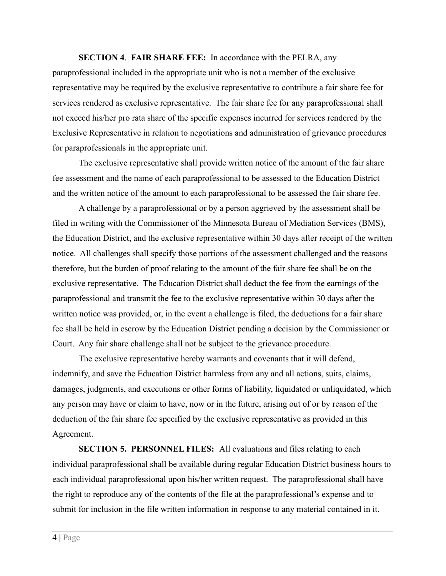**SECTION 4**. **FAIR SHARE FEE:** In accordance with the PELRA, any

paraprofessional included in the appropriate unit who is not a member of the exclusive representative may be required by the exclusive representative to contribute a fair share fee for services rendered as exclusive representative. The fair share fee for any paraprofessional shall not exceed his/her pro rata share of the specific expenses incurred for services rendered by the Exclusive Representative in relation to negotiations and administration of grievance procedures for paraprofessionals in the appropriate unit.

The exclusive representative shall provide written notice of the amount of the fair share fee assessment and the name of each paraprofessional to be assessed to the Education District and the written notice of the amount to each paraprofessional to be assessed the fair share fee.

A challenge by a paraprofessional or by a person aggrieved by the assessment shall be filed in writing with the Commissioner of the Minnesota Bureau of Mediation Services (BMS), the Education District, and the exclusive representative within 30 days after receipt of the written notice. All challenges shall specify those portions of the assessment challenged and the reasons therefore, but the burden of proof relating to the amount of the fair share fee shall be on the exclusive representative. The Education District shall deduct the fee from the earnings of the paraprofessional and transmit the fee to the exclusive representative within 30 days after the written notice was provided, or, in the event a challenge is filed, the deductions for a fair share fee shall be held in escrow by the Education District pending a decision by the Commissioner or Court. Any fair share challenge shall not be subject to the grievance procedure.

The exclusive representative hereby warrants and covenants that it will defend, indemnify, and save the Education District harmless from any and all actions, suits, claims, damages, judgments, and executions or other forms of liability, liquidated or unliquidated, which any person may have or claim to have, now or in the future, arising out of or by reason of the deduction of the fair share fee specified by the exclusive representative as provided in this Agreement.

**SECTION 5. PERSONNEL FILES:** All evaluations and files relating to each individual paraprofessional shall be available during regular Education District business hours to each individual paraprofessional upon his/her written request. The paraprofessional shall have the right to reproduce any of the contents of the file at the paraprofessional's expense and to submit for inclusion in the file written information in response to any material contained in it.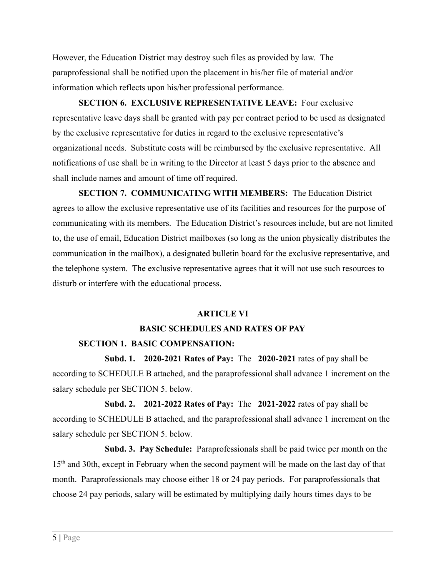However, the Education District may destroy such files as provided by law. The paraprofessional shall be notified upon the placement in his/her file of material and/or information which reflects upon his/her professional performance.

**SECTION 6. EXCLUSIVE REPRESENTATIVE LEAVE:** Four exclusive representative leave days shall be granted with pay per contract period to be used as designated by the exclusive representative for duties in regard to the exclusive representative's organizational needs. Substitute costs will be reimbursed by the exclusive representative. All notifications of use shall be in writing to the Director at least 5 days prior to the absence and shall include names and amount of time off required.

**SECTION 7. COMMUNICATING WITH MEMBERS:** The Education District agrees to allow the exclusive representative use of its facilities and resources for the purpose of communicating with its members. The Education District's resources include, but are not limited to, the use of email, Education District mailboxes (so long as the union physically distributes the communication in the mailbox), a designated bulletin board for the exclusive representative, and the telephone system. The exclusive representative agrees that it will not use such resources to disturb or interfere with the educational process.

#### **ARTICLE VI**

## **BASIC SCHEDULES AND RATES OF PAY**

#### **SECTION 1. BASIC COMPENSATION:**

**Subd. 1. 2020-2021 Rates of Pay:** The **2020-2021** rates of pay shall be according to SCHEDULE B attached, and the paraprofessional shall advance 1 increment on the salary schedule per SECTION 5. below.

**Subd. 2. 2021-2022 Rates of Pay:** The **2021-2022** rates of pay shall be according to SCHEDULE B attached, and the paraprofessional shall advance 1 increment on the salary schedule per SECTION 5. below.

**Subd. 3. Pay Schedule:** Paraprofessionals shall be paid twice per month on the 15<sup>th</sup> and 30th, except in February when the second payment will be made on the last day of that month. Paraprofessionals may choose either 18 or 24 pay periods. For paraprofessionals that choose 24 pay periods, salary will be estimated by multiplying daily hours times days to be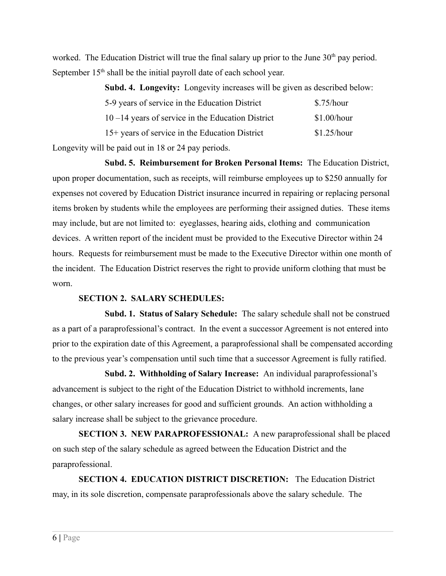worked. The Education District will true the final salary up prior to the June  $30<sup>th</sup>$  pay period. September 15<sup>th</sup> shall be the initial payroll date of each school year.

| Subd. 4. Longevity: Longevity increases will be given as described below: |             |
|---------------------------------------------------------------------------|-------------|
| 5-9 years of service in the Education District                            | \$.75/hour  |
| $10 - 14$ years of service in the Education District                      | \$1.00/hour |
| 15+ years of service in the Education District                            | \$1.25/hour |
| $11$ 1 $1$ 10 01 1                                                        |             |

Longevity will be paid out in 18 or 24 pay periods.

**Subd. 5. Reimbursement for Broken Personal Items:** The Education District, upon proper documentation, such as receipts, will reimburse employees up to \$250 annually for expenses not covered by Education District insurance incurred in repairing or replacing personal items broken by students while the employees are performing their assigned duties. These items may include, but are not limited to: eyeglasses, hearing aids, clothing and communication devices. A written report of the incident must be provided to the Executive Director within 24 hours. Requests for reimbursement must be made to the Executive Director within one month of the incident. The Education District reserves the right to provide uniform clothing that must be worn.

## **SECTION 2. SALARY SCHEDULES:**

**Subd. 1. Status of Salary Schedule:** The salary schedule shall not be construed as a part of a paraprofessional's contract. In the event a successor Agreement is not entered into prior to the expiration date of this Agreement, a paraprofessional shall be compensated according to the previous year's compensation until such time that a successor Agreement is fully ratified.

**Subd. 2. Withholding of Salary Increase:** An individual paraprofessional's advancement is subject to the right of the Education District to withhold increments, lane changes, or other salary increases for good and sufficient grounds. An action withholding a salary increase shall be subject to the grievance procedure.

**SECTION 3. NEW PARAPROFESSIONAL:** A new paraprofessional shall be placed on such step of the salary schedule as agreed between the Education District and the paraprofessional.

**SECTION 4. EDUCATION DISTRICT DISCRETION:** The Education District may, in its sole discretion, compensate paraprofessionals above the salary schedule. The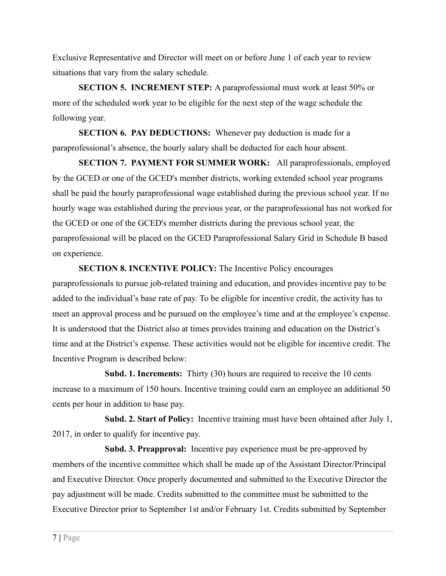Exclusive Representative and Director will meet on or before June 1 of each year to review situations that vary from the salary schedule.

**SECTION 5. INCREMENT STEP:** A paraprofessional must work at least 50% or more of the scheduled work year to be eligible for the next step of the wage schedule the following year.

**SECTION 6. PAY DEDUCTIONS:** Whenever pay deduction is made for a paraprofessional's absence, the hourly salary shall be deducted for each hour absent.

**SECTION 7. PAYMENT FOR SUMMER WORK:** All paraprofessionals, employed by the GCED or one of the GCED's member districts, working extended school year programs shall be paid the hourly paraprofessional wage established during the previous school year. If no hourly wage was established during the previous year, or the paraprofessional has not worked for the GCED or one of the GCED's member districts during the previous school year, the paraprofessional will be placed on the GCED Paraprofessional Salary Grid in Schedule B based on experience.

**SECTION 8. INCENTIVE POLICY:** The Incentive Policy encourages paraprofessionals to pursue job-related training and education, and provides incentive pay to be added to the individual's base rate of pay. To be eligible for incentive credit, the activity has to meet an approval process and be pursued on the employee's time and at the employee's expense. It is understood that the District also at times provides training and education on the District's time and at the District's expense. These activities would not be eligible for incentive credit. The Incentive Program is described below:

**Subd. 1. Increments:** Thirty (30) hours are required to receive the 10 cents increase to a maximum of 150 hours. Incentive training could earn an employee an additional 50 cents per hour in addition to base pay.

**Subd. 2. Start of Policy:** Incentive training must have been obtained after July 1, 2017, in order to qualify for incentive pay.

**Subd. 3. Preapproval:** Incentive pay experience must be pre-approved by members of the incentive committee which shall be made up of the Assistant Director/Principal and Executive Director. Once properly documented and submitted to the Executive Director the pay adjustment will be made. Credits submitted to the committee must be submitted to the Executive Director prior to September 1st and/or February 1st. Credits submitted by September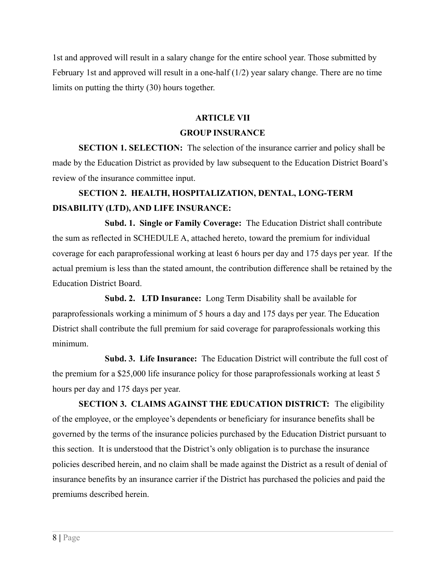1st and approved will result in a salary change for the entire school year. Those submitted by February 1st and approved will result in a one-half  $(1/2)$  year salary change. There are no time limits on putting the thirty (30) hours together.

#### **ARTICLE VII**

#### **GROUP INSURANCE**

**SECTION 1. SELECTION:** The selection of the insurance carrier and policy shall be made by the Education District as provided by law subsequent to the Education District Board's review of the insurance committee input.

# **SECTION 2. HEALTH, HOSPITALIZATION, DENTAL, LONG-TERM DISABILITY (LTD), AND LIFE INSURANCE:**

**Subd. 1. Single or Family Coverage:** The Education District shall contribute the sum as reflected in SCHEDULE A, attached hereto, toward the premium for individual coverage for each paraprofessional working at least 6 hours per day and 175 days per year. If the actual premium is less than the stated amount, the contribution difference shall be retained by the Education District Board.

**Subd. 2. LTD Insurance:** Long Term Disability shall be available for paraprofessionals working a minimum of 5 hours a day and 175 days per year. The Education District shall contribute the full premium for said coverage for paraprofessionals working this minimum.

**Subd. 3. Life Insurance:** The Education District will contribute the full cost of the premium for a \$25,000 life insurance policy for those paraprofessionals working at least 5 hours per day and 175 days per year.

**SECTION 3. CLAIMS AGAINST THE EDUCATION DISTRICT:** The eligibility of the employee, or the employee's dependents or beneficiary for insurance benefits shall be governed by the terms of the insurance policies purchased by the Education District pursuant to this section. It is understood that the District's only obligation is to purchase the insurance policies described herein, and no claim shall be made against the District as a result of denial of insurance benefits by an insurance carrier if the District has purchased the policies and paid the premiums described herein.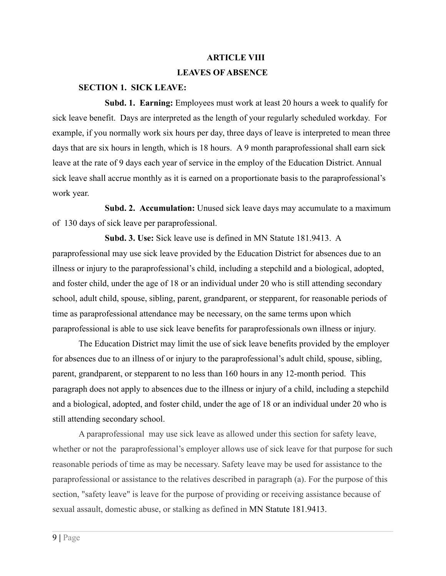#### **ARTICLE VIII**

#### **LEAVES OF ABSENCE**

#### **SECTION 1. SICK LEAVE:**

**Subd. 1. Earning:** Employees must work at least 20 hours a week to qualify for sick leave benefit. Days are interpreted as the length of your regularly scheduled workday. For example, if you normally work six hours per day, three days of leave is interpreted to mean three days that are six hours in length, which is 18 hours. A 9 month paraprofessional shall earn sick leave at the rate of 9 days each year of service in the employ of the Education District. Annual sick leave shall accrue monthly as it is earned on a proportionate basis to the paraprofessional's work year.

**Subd. 2. Accumulation:** Unused sick leave days may accumulate to a maximum of 130 days of sick leave per paraprofessional.

**Subd. 3. Use:** Sick leave use is defined in MN Statute 181.9413. A paraprofessional may use sick leave provided by the Education District for absences due to an illness or injury to the paraprofessional's child, including a stepchild and a biological, adopted, and foster child, under the age of 18 or an individual under 20 who is still attending secondary school, adult child, spouse, sibling, parent, grandparent, or stepparent, for reasonable periods of time as paraprofessional attendance may be necessary, on the same terms upon which paraprofessional is able to use sick leave benefits for paraprofessionals own illness or injury.

The Education District may limit the use of sick leave benefits provided by the employer for absences due to an illness of or injury to the paraprofessional's adult child, spouse, sibling, parent, grandparent, or stepparent to no less than 160 hours in any 12-month period. This paragraph does not apply to absences due to the illness or injury of a child, including a stepchild and a biological, adopted, and foster child, under the age of 18 or an individual under 20 who is still attending secondary school.

A paraprofessional may use sick leave as allowed under this section for safety leave, whether or not the paraprofessional's employer allows use of sick leave for that purpose for such reasonable periods of time as may be necessary. Safety leave may be used for assistance to the paraprofessional or assistance to the relatives described in paragraph (a). For the purpose of this section, "safety leave" is leave for the purpose of providing or receiving assistance because of sexual assault, domestic abuse, or stalking as defined in MN Statute 181.9413.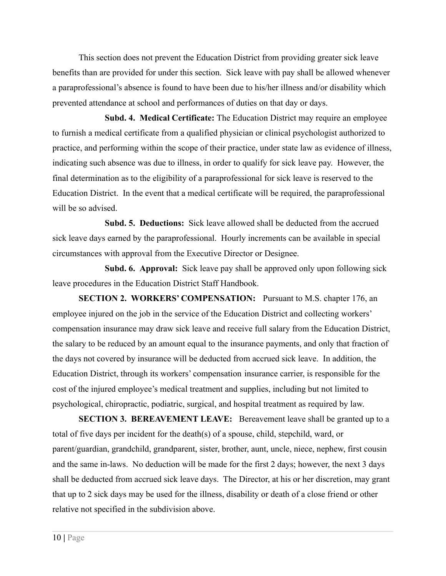This section does not prevent the Education District from providing greater sick leave benefits than are provided for under this section. Sick leave with pay shall be allowed whenever a paraprofessional's absence is found to have been due to his/her illness and/or disability which prevented attendance at school and performances of duties on that day or days.

**Subd. 4. Medical Certificate:** The Education District may require an employee to furnish a medical certificate from a qualified physician or clinical psychologist authorized to practice, and performing within the scope of their practice, under state law as evidence of illness, indicating such absence was due to illness, in order to qualify for sick leave pay. However, the final determination as to the eligibility of a paraprofessional for sick leave is reserved to the Education District. In the event that a medical certificate will be required, the paraprofessional will be so advised.

**Subd. 5. Deductions:** Sick leave allowed shall be deducted from the accrued sick leave days earned by the paraprofessional. Hourly increments can be available in special circumstances with approval from the Executive Director or Designee.

**Subd. 6. Approval:** Sick leave pay shall be approved only upon following sick leave procedures in the Education District Staff Handbook.

**SECTION 2. WORKERS' COMPENSATION:** Pursuant to M.S. chapter 176, an employee injured on the job in the service of the Education District and collecting workers' compensation insurance may draw sick leave and receive full salary from the Education District, the salary to be reduced by an amount equal to the insurance payments, and only that fraction of the days not covered by insurance will be deducted from accrued sick leave. In addition, the Education District, through its workers' compensation insurance carrier, is responsible for the cost of the injured employee's medical treatment and supplies, including but not limited to psychological, chiropractic, podiatric, surgical, and hospital treatment as required by law.

**SECTION 3. BEREAVEMENT LEAVE:** Bereavement leave shall be granted up to a total of five days per incident for the death(s) of a spouse, child, stepchild, ward, or parent/guardian, grandchild, grandparent, sister, brother, aunt, uncle, niece, nephew, first cousin and the same in-laws. No deduction will be made for the first 2 days; however, the next 3 days shall be deducted from accrued sick leave days. The Director, at his or her discretion, may grant that up to 2 sick days may be used for the illness, disability or death of a close friend or other relative not specified in the subdivision above.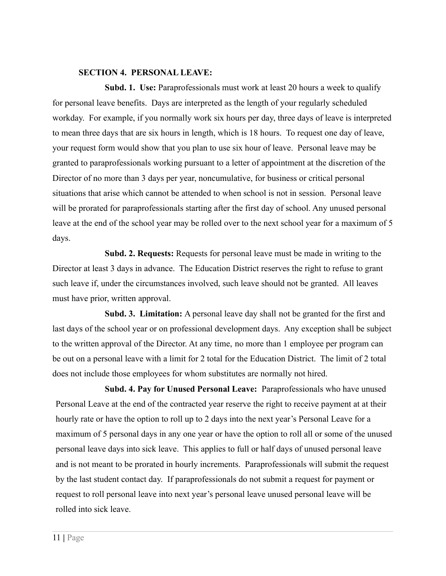#### **SECTION 4. PERSONAL LEAVE:**

**Subd. 1. Use:** Paraprofessionals must work at least 20 hours a week to qualify for personal leave benefits. Days are interpreted as the length of your regularly scheduled workday. For example, if you normally work six hours per day, three days of leave is interpreted to mean three days that are six hours in length, which is 18 hours. To request one day of leave, your request form would show that you plan to use six hour of leave. Personal leave may be granted to paraprofessionals working pursuant to a letter of appointment at the discretion of the Director of no more than 3 days per year, noncumulative, for business or critical personal situations that arise which cannot be attended to when school is not in session. Personal leave will be prorated for paraprofessionals starting after the first day of school. Any unused personal leave at the end of the school year may be rolled over to the next school year for a maximum of 5 days.

**Subd. 2. Requests:** Requests for personal leave must be made in writing to the Director at least 3 days in advance. The Education District reserves the right to refuse to grant such leave if, under the circumstances involved, such leave should not be granted. All leaves must have prior, written approval.

**Subd. 3. Limitation:** A personal leave day shall not be granted for the first and last days of the school year or on professional development days. Any exception shall be subject to the written approval of the Director. At any time, no more than 1 employee per program can be out on a personal leave with a limit for 2 total for the Education District. The limit of 2 total does not include those employees for whom substitutes are normally not hired.

**Subd. 4. Pay for Unused Personal Leave:** Paraprofessionals who have unused Personal Leave at the end of the contracted year reserve the right to receive payment at at their hourly rate or have the option to roll up to 2 days into the next year's Personal Leave for a maximum of 5 personal days in any one year or have the option to roll all or some of the unused personal leave days into sick leave. This applies to full or half days of unused personal leave and is not meant to be prorated in hourly increments. Paraprofessionals will submit the request by the last student contact day. If paraprofessionals do not submit a request for payment or request to roll personal leave into next year's personal leave unused personal leave will be rolled into sick leave.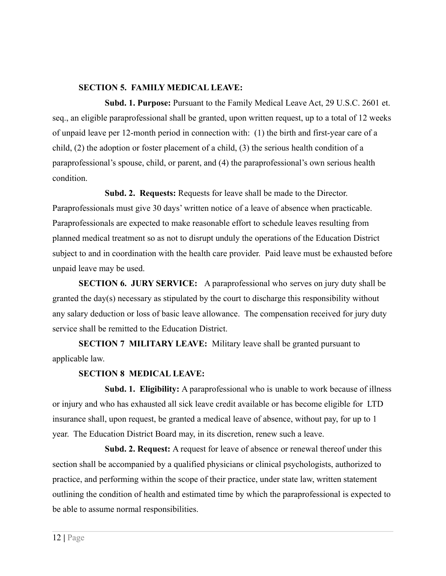#### **SECTION 5. FAMILY MEDICAL LEAVE:**

**Subd. 1. Purpose:** Pursuant to the Family Medical Leave Act, 29 U.S.C. 2601 et. seq., an eligible paraprofessional shall be granted, upon written request, up to a total of 12 weeks of unpaid leave per 12-month period in connection with: (1) the birth and first-year care of a child, (2) the adoption or foster placement of a child, (3) the serious health condition of a paraprofessional's spouse, child, or parent, and (4) the paraprofessional's own serious health condition.

**Subd. 2. Requests:** Requests for leave shall be made to the Director. Paraprofessionals must give 30 days' written notice of a leave of absence when practicable. Paraprofessionals are expected to make reasonable effort to schedule leaves resulting from planned medical treatment so as not to disrupt unduly the operations of the Education District subject to and in coordination with the health care provider. Paid leave must be exhausted before unpaid leave may be used.

**SECTION 6. JURY SERVICE:** A paraprofessional who serves on jury duty shall be granted the day(s) necessary as stipulated by the court to discharge this responsibility without any salary deduction or loss of basic leave allowance. The compensation received for jury duty service shall be remitted to the Education District.

**SECTION 7 MILITARY LEAVE:** Military leave shall be granted pursuant to applicable law.

## **SECTION 8 MEDICAL LEAVE:**

**Subd. 1. Eligibility:** A paraprofessional who is unable to work because of illness or injury and who has exhausted all sick leave credit available or has become eligible for LTD insurance shall, upon request, be granted a medical leave of absence, without pay, for up to 1 year. The Education District Board may, in its discretion, renew such a leave.

**Subd. 2. Request:** A request for leave of absence or renewal thereof under this section shall be accompanied by a qualified physicians or clinical psychologists, authorized to practice, and performing within the scope of their practice, under state law, written statement outlining the condition of health and estimated time by which the paraprofessional is expected to be able to assume normal responsibilities.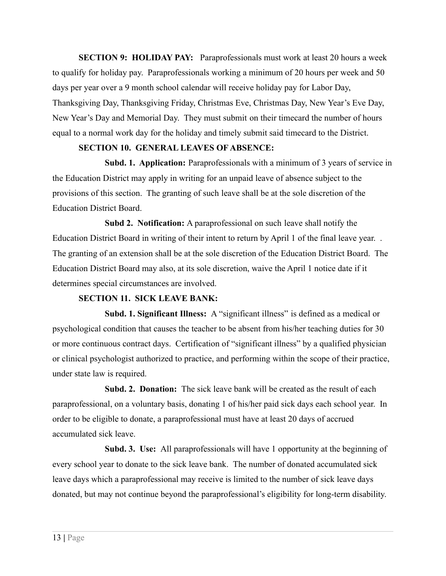**SECTION 9: HOLIDAY PAY:** Paraprofessionals must work at least 20 hours a week to qualify for holiday pay. Paraprofessionals working a minimum of 20 hours per week and 50 days per year over a 9 month school calendar will receive holiday pay for Labor Day, Thanksgiving Day, Thanksgiving Friday, Christmas Eve, Christmas Day, New Year's Eve Day, New Year's Day and Memorial Day. They must submit on their timecard the number of hours equal to a normal work day for the holiday and timely submit said timecard to the District.

#### **SECTION 10. GENERAL LEAVES OF ABSENCE:**

**Subd. 1. Application:** Paraprofessionals with a minimum of 3 years of service in the Education District may apply in writing for an unpaid leave of absence subject to the provisions of this section. The granting of such leave shall be at the sole discretion of the Education District Board.

**Subd 2. Notification:** A paraprofessional on such leave shall notify the Education District Board in writing of their intent to return by April 1 of the final leave year. . The granting of an extension shall be at the sole discretion of the Education District Board. The Education District Board may also, at its sole discretion, waive the April 1 notice date if it determines special circumstances are involved.

#### **SECTION 11. SICK LEAVE BANK:**

**Subd. 1. Significant Illness:** A "significant illness" is defined as a medical or psychological condition that causes the teacher to be absent from his/her teaching duties for 30 or more continuous contract days. Certification of "significant illness" by a qualified physician or clinical psychologist authorized to practice, and performing within the scope of their practice, under state law is required.

**Subd. 2. Donation:** The sick leave bank will be created as the result of each paraprofessional, on a voluntary basis, donating 1 of his/her paid sick days each school year. In order to be eligible to donate, a paraprofessional must have at least 20 days of accrued accumulated sick leave.

**Subd. 3. Use:** All paraprofessionals will have 1 opportunity at the beginning of every school year to donate to the sick leave bank. The number of donated accumulated sick leave days which a paraprofessional may receive is limited to the number of sick leave days donated, but may not continue beyond the paraprofessional's eligibility for long-term disability.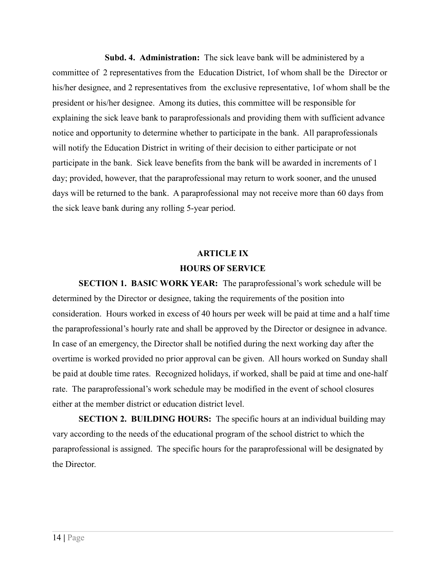**Subd. 4. Administration:** The sick leave bank will be administered by a committee of 2 representatives from the Education District, 1of whom shall be the Director or his/her designee, and 2 representatives from the exclusive representative, 1of whom shall be the president or his/her designee. Among its duties, this committee will be responsible for explaining the sick leave bank to paraprofessionals and providing them with sufficient advance notice and opportunity to determine whether to participate in the bank. All paraprofessionals will notify the Education District in writing of their decision to either participate or not participate in the bank. Sick leave benefits from the bank will be awarded in increments of 1 day; provided, however, that the paraprofessional may return to work sooner, and the unused days will be returned to the bank. A paraprofessional may not receive more than 60 days from the sick leave bank during any rolling 5-year period.

# **ARTICLE IX HOURS OF SERVICE**

**SECTION 1. BASIC WORK YEAR:** The paraprofessional's work schedule will be determined by the Director or designee, taking the requirements of the position into consideration. Hours worked in excess of 40 hours per week will be paid at time and a half time the paraprofessional's hourly rate and shall be approved by the Director or designee in advance. In case of an emergency, the Director shall be notified during the next working day after the overtime is worked provided no prior approval can be given. All hours worked on Sunday shall be paid at double time rates. Recognized holidays, if worked, shall be paid at time and one-half rate. The paraprofessional's work schedule may be modified in the event of school closures either at the member district or education district level.

**SECTION 2. BUILDING HOURS:** The specific hours at an individual building may vary according to the needs of the educational program of the school district to which the paraprofessional is assigned. The specific hours for the paraprofessional will be designated by the Director.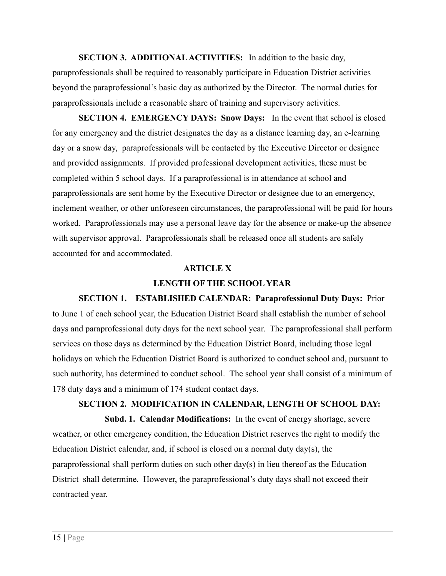**SECTION 3. ADDITIONALACTIVITIES:** In addition to the basic day, paraprofessionals shall be required to reasonably participate in Education District activities beyond the paraprofessional's basic day as authorized by the Director. The normal duties for paraprofessionals include a reasonable share of training and supervisory activities.

**SECTION 4. EMERGENCY DAYS: Snow Days:** In the event that school is closed for any emergency and the district designates the day as a distance learning day, an e-learning day or a snow day, paraprofessionals will be contacted by the Executive Director or designee and provided assignments. If provided professional development activities, these must be completed within 5 school days. If a paraprofessional is in attendance at school and paraprofessionals are sent home by the Executive Director or designee due to an emergency, inclement weather, or other unforeseen circumstances, the paraprofessional will be paid for hours worked. Paraprofessionals may use a personal leave day for the absence or make-up the absence with supervisor approval. Paraprofessionals shall be released once all students are safely accounted for and accommodated.

#### **ARTICLE X**

### **LENGTH OF THE SCHOOL YEAR**

**SECTION 1. ESTABLISHED CALENDAR: Paraprofessional Duty Days:** Prior to June 1 of each school year, the Education District Board shall establish the number of school days and paraprofessional duty days for the next school year. The paraprofessional shall perform services on those days as determined by the Education District Board, including those legal holidays on which the Education District Board is authorized to conduct school and, pursuant to such authority, has determined to conduct school. The school year shall consist of a minimum of 178 duty days and a minimum of 174 student contact days.

# **SECTION 2. MODIFICATION IN CALENDAR, LENGTH OF SCHOOL DAY:**

**Subd. 1. Calendar Modifications:** In the event of energy shortage, severe weather, or other emergency condition, the Education District reserves the right to modify the Education District calendar, and, if school is closed on a normal duty day(s), the paraprofessional shall perform duties on such other day(s) in lieu thereof as the Education District shall determine. However, the paraprofessional's duty days shall not exceed their contracted year.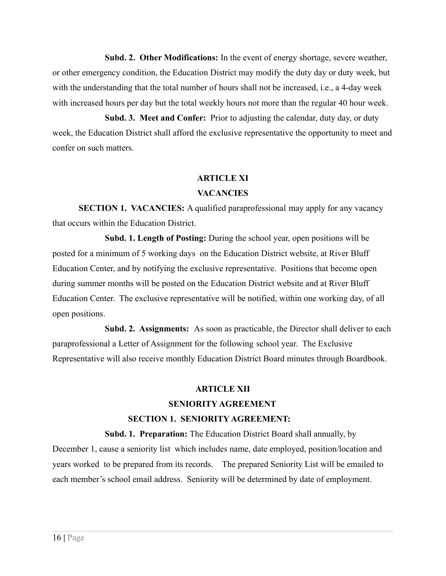**Subd. 2. Other Modifications:** In the event of energy shortage, severe weather, or other emergency condition, the Education District may modify the duty day or duty week, but with the understanding that the total number of hours shall not be increased, i.e., a 4-day week with increased hours per day but the total weekly hours not more than the regular 40 hour week.

**Subd. 3. Meet and Confer:** Prior to adjusting the calendar, duty day, or duty week, the Education District shall afford the exclusive representative the opportunity to meet and confer on such matters.

# **ARTICLE XI**

# **VACANCIES**

**SECTION 1. VACANCIES:** A qualified paraprofessional may apply for any vacancy that occurs within the Education District.

**Subd. 1. Length of Posting:** During the school year, open positions will be posted for a minimum of 5 working days on the Education District website, at River Bluff Education Center, and by notifying the exclusive representative. Positions that become open during summer months will be posted on the Education District website and at River Bluff Education Center. The exclusive representative will be notified, within one working day, of all open positions.

**Subd. 2. Assignments:** As soon as practicable, the Director shall deliver to each paraprofessional a Letter of Assignment for the following school year. The Exclusive Representative will also receive monthly Education District Board minutes through Boardbook.

# **ARTICLE XII**

# **SENIORITY AGREEMENT**

# **SECTION 1. SENIORITY AGREEMENT:**

**Subd. 1. Preparation:** The Education District Board shall annually, by December 1, cause a seniority list which includes name, date employed, position/location and years worked to be prepared from its records. The prepared Seniority List will be emailed to each member's school email address. Seniority will be determined by date of employment.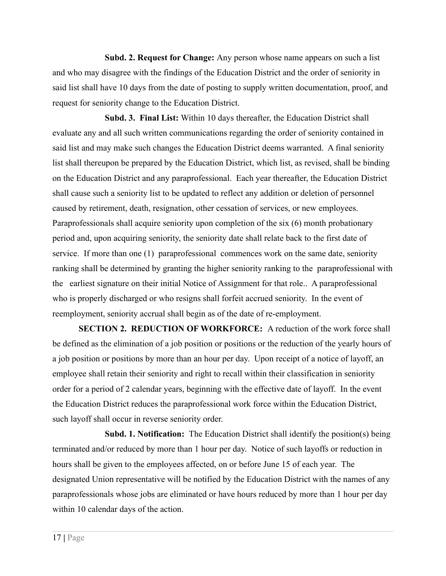**Subd. 2. Request for Change:** Any person whose name appears on such a list and who may disagree with the findings of the Education District and the order of seniority in said list shall have 10 days from the date of posting to supply written documentation, proof, and request for seniority change to the Education District.

**Subd. 3. Final List:** Within 10 days thereafter, the Education District shall evaluate any and all such written communications regarding the order of seniority contained in said list and may make such changes the Education District deems warranted. A final seniority list shall thereupon be prepared by the Education District, which list, as revised, shall be binding on the Education District and any paraprofessional. Each year thereafter, the Education District shall cause such a seniority list to be updated to reflect any addition or deletion of personnel caused by retirement, death, resignation, other cessation of services, or new employees. Paraprofessionals shall acquire seniority upon completion of the six (6) month probationary period and, upon acquiring seniority, the seniority date shall relate back to the first date of service. If more than one (1) paraprofessional commences work on the same date, seniority ranking shall be determined by granting the higher seniority ranking to the paraprofessional with the earliest signature on their initial Notice of Assignment for that role.. A paraprofessional who is properly discharged or who resigns shall forfeit accrued seniority. In the event of reemployment, seniority accrual shall begin as of the date of re-employment.

**SECTION 2. REDUCTION OF WORKFORCE:** A reduction of the work force shall be defined as the elimination of a job position or positions or the reduction of the yearly hours of a job position or positions by more than an hour per day. Upon receipt of a notice of layoff, an employee shall retain their seniority and right to recall within their classification in seniority order for a period of 2 calendar years, beginning with the effective date of layoff. In the event the Education District reduces the paraprofessional work force within the Education District, such layoff shall occur in reverse seniority order.

**Subd. 1. Notification:** The Education District shall identify the position(s) being terminated and/or reduced by more than 1 hour per day. Notice of such layoffs or reduction in hours shall be given to the employees affected, on or before June 15 of each year. The designated Union representative will be notified by the Education District with the names of any paraprofessionals whose jobs are eliminated or have hours reduced by more than 1 hour per day within 10 calendar days of the action.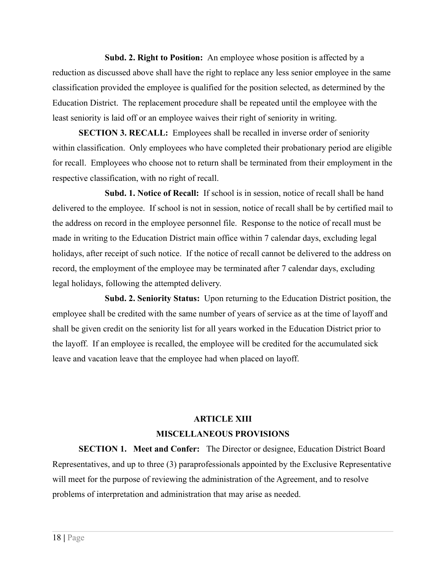**Subd. 2. Right to Position:** An employee whose position is affected by a reduction as discussed above shall have the right to replace any less senior employee in the same classification provided the employee is qualified for the position selected, as determined by the Education District. The replacement procedure shall be repeated until the employee with the least seniority is laid off or an employee waives their right of seniority in writing.

**SECTION 3. RECALL:** Employees shall be recalled in inverse order of seniority within classification. Only employees who have completed their probationary period are eligible for recall. Employees who choose not to return shall be terminated from their employment in the respective classification, with no right of recall.

**Subd. 1. Notice of Recall:** If school is in session, notice of recall shall be hand delivered to the employee. If school is not in session, notice of recall shall be by certified mail to the address on record in the employee personnel file. Response to the notice of recall must be made in writing to the Education District main office within 7 calendar days, excluding legal holidays, after receipt of such notice. If the notice of recall cannot be delivered to the address on record, the employment of the employee may be terminated after 7 calendar days, excluding legal holidays, following the attempted delivery.

**Subd. 2. Seniority Status:** Upon returning to the Education District position, the employee shall be credited with the same number of years of service as at the time of layoff and shall be given credit on the seniority list for all years worked in the Education District prior to the layoff. If an employee is recalled, the employee will be credited for the accumulated sick leave and vacation leave that the employee had when placed on layoff.

# **ARTICLE XIII MISCELLANEOUS PROVISIONS**

**SECTION 1. Meet and Confer:** The Director or designee, Education District Board Representatives, and up to three (3) paraprofessionals appointed by the Exclusive Representative will meet for the purpose of reviewing the administration of the Agreement, and to resolve problems of interpretation and administration that may arise as needed.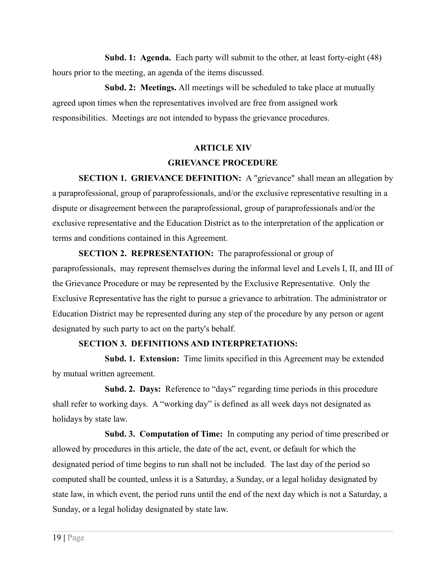**Subd. 1: Agenda.** Each party will submit to the other, at least forty-eight (48) hours prior to the meeting, an agenda of the items discussed.

**Subd. 2: Meetings.** All meetings will be scheduled to take place at mutually agreed upon times when the representatives involved are free from assigned work responsibilities. Meetings are not intended to bypass the grievance procedures.

# **ARTICLE XIV GRIEVANCE PROCEDURE**

**SECTION 1. GRIEVANCE DEFINITION:** A "grievance" shall mean an allegation by a paraprofessional, group of paraprofessionals, and/or the exclusive representative resulting in a dispute or disagreement between the paraprofessional, group of paraprofessionals and/or the exclusive representative and the Education District as to the interpretation of the application or terms and conditions contained in this Agreement.

**SECTION 2. REPRESENTATION:** The paraprofessional or group of paraprofessionals, may represent themselves during the informal level and Levels I, II, and III of the Grievance Procedure or may be represented by the Exclusive Representative. Only the Exclusive Representative has the right to pursue a grievance to arbitration. The administrator or Education District may be represented during any step of the procedure by any person or agent designated by such party to act on the party's behalf.

## **SECTION 3. DEFINITIONS AND INTERPRETATIONS:**

**Subd. 1. Extension:** Time limits specified in this Agreement may be extended by mutual written agreement.

**Subd. 2. Days:** Reference to "days" regarding time periods in this procedure shall refer to working days. A "working day" is defined as all week days not designated as holidays by state law.

**Subd. 3. Computation of Time:** In computing any period of time prescribed or allowed by procedures in this article, the date of the act, event, or default for which the designated period of time begins to run shall not be included. The last day of the period so computed shall be counted, unless it is a Saturday, a Sunday, or a legal holiday designated by state law, in which event, the period runs until the end of the next day which is not a Saturday, a Sunday, or a legal holiday designated by state law.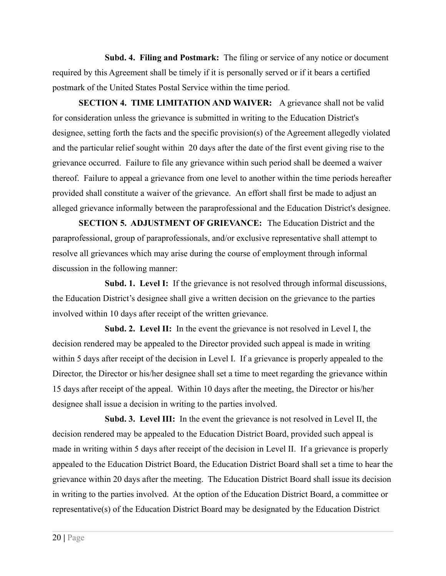**Subd. 4. Filing and Postmark:** The filing or service of any notice or document required by this Agreement shall be timely if it is personally served or if it bears a certified postmark of the United States Postal Service within the time period.

**SECTION 4. TIME LIMITATION AND WAIVER:** A grievance shall not be valid for consideration unless the grievance is submitted in writing to the Education District's designee, setting forth the facts and the specific provision(s) of the Agreement allegedly violated and the particular relief sought within 20 days after the date of the first event giving rise to the grievance occurred. Failure to file any grievance within such period shall be deemed a waiver thereof. Failure to appeal a grievance from one level to another within the time periods hereafter provided shall constitute a waiver of the grievance. An effort shall first be made to adjust an alleged grievance informally between the paraprofessional and the Education District's designee.

**SECTION 5. ADJUSTMENT OF GRIEVANCE:** The Education District and the paraprofessional, group of paraprofessionals, and/or exclusive representative shall attempt to resolve all grievances which may arise during the course of employment through informal discussion in the following manner:

**Subd. 1. Level I:** If the grievance is not resolved through informal discussions, the Education District's designee shall give a written decision on the grievance to the parties involved within 10 days after receipt of the written grievance.

**Subd. 2. Level II:** In the event the grievance is not resolved in Level I, the decision rendered may be appealed to the Director provided such appeal is made in writing within 5 days after receipt of the decision in Level I. If a grievance is properly appealed to the Director, the Director or his/her designee shall set a time to meet regarding the grievance within 15 days after receipt of the appeal. Within 10 days after the meeting, the Director or his/her designee shall issue a decision in writing to the parties involved.

**Subd. 3. Level III:** In the event the grievance is not resolved in Level II, the decision rendered may be appealed to the Education District Board, provided such appeal is made in writing within 5 days after receipt of the decision in Level II. If a grievance is properly appealed to the Education District Board, the Education District Board shall set a time to hear the grievance within 20 days after the meeting. The Education District Board shall issue its decision in writing to the parties involved. At the option of the Education District Board, a committee or representative(s) of the Education District Board may be designated by the Education District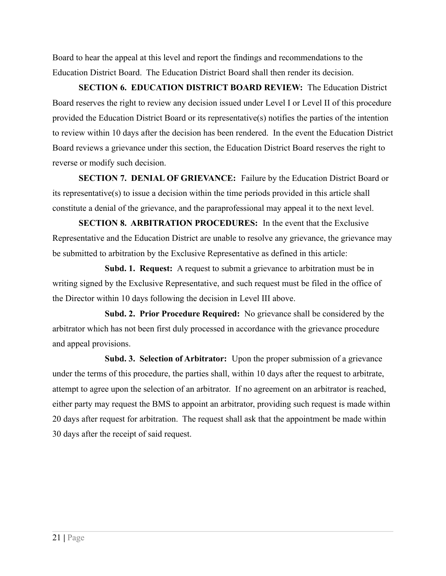Board to hear the appeal at this level and report the findings and recommendations to the Education District Board. The Education District Board shall then render its decision.

**SECTION 6. EDUCATION DISTRICT BOARD REVIEW:** The Education District Board reserves the right to review any decision issued under Level I or Level II of this procedure provided the Education District Board or its representative(s) notifies the parties of the intention to review within 10 days after the decision has been rendered. In the event the Education District Board reviews a grievance under this section, the Education District Board reserves the right to reverse or modify such decision.

**SECTION 7. DENIAL OF GRIEVANCE:** Failure by the Education District Board or its representative(s) to issue a decision within the time periods provided in this article shall constitute a denial of the grievance, and the paraprofessional may appeal it to the next level.

**SECTION 8. ARBITRATION PROCEDURES:** In the event that the Exclusive Representative and the Education District are unable to resolve any grievance, the grievance may be submitted to arbitration by the Exclusive Representative as defined in this article:

**Subd. 1. Request:** A request to submit a grievance to arbitration must be in writing signed by the Exclusive Representative, and such request must be filed in the office of the Director within 10 days following the decision in Level III above.

**Subd. 2. Prior Procedure Required:** No grievance shall be considered by the arbitrator which has not been first duly processed in accordance with the grievance procedure and appeal provisions.

**Subd. 3. Selection of Arbitrator:** Upon the proper submission of a grievance under the terms of this procedure, the parties shall, within 10 days after the request to arbitrate, attempt to agree upon the selection of an arbitrator. If no agreement on an arbitrator is reached, either party may request the BMS to appoint an arbitrator, providing such request is made within 20 days after request for arbitration. The request shall ask that the appointment be made within 30 days after the receipt of said request.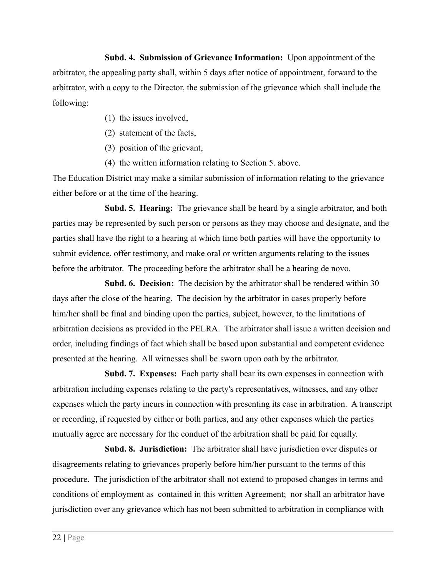**Subd. 4. Submission of Grievance Information:** Upon appointment of the arbitrator, the appealing party shall, within 5 days after notice of appointment, forward to the arbitrator, with a copy to the Director, the submission of the grievance which shall include the following:

- (1) the issues involved,
- (2) statement of the facts,
- (3) position of the grievant,
- (4) the written information relating to Section 5. above.

The Education District may make a similar submission of information relating to the grievance either before or at the time of the hearing.

**Subd. 5. Hearing:** The grievance shall be heard by a single arbitrator, and both parties may be represented by such person or persons as they may choose and designate, and the parties shall have the right to a hearing at which time both parties will have the opportunity to submit evidence, offer testimony, and make oral or written arguments relating to the issues before the arbitrator. The proceeding before the arbitrator shall be a hearing de novo.

**Subd. 6. Decision:** The decision by the arbitrator shall be rendered within 30 days after the close of the hearing. The decision by the arbitrator in cases properly before him/her shall be final and binding upon the parties, subject, however, to the limitations of arbitration decisions as provided in the PELRA. The arbitrator shall issue a written decision and order, including findings of fact which shall be based upon substantial and competent evidence presented at the hearing. All witnesses shall be sworn upon oath by the arbitrator.

**Subd. 7. Expenses:** Each party shall bear its own expenses in connection with arbitration including expenses relating to the party's representatives, witnesses, and any other expenses which the party incurs in connection with presenting its case in arbitration. A transcript or recording, if requested by either or both parties, and any other expenses which the parties mutually agree are necessary for the conduct of the arbitration shall be paid for equally.

**Subd. 8. Jurisdiction:** The arbitrator shall have jurisdiction over disputes or disagreements relating to grievances properly before him/her pursuant to the terms of this procedure. The jurisdiction of the arbitrator shall not extend to proposed changes in terms and conditions of employment as contained in this written Agreement; nor shall an arbitrator have jurisdiction over any grievance which has not been submitted to arbitration in compliance with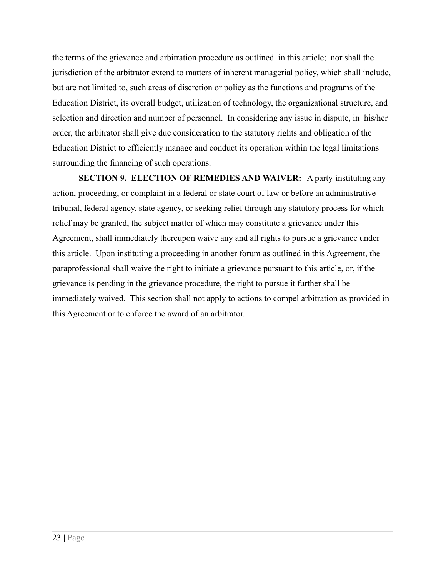the terms of the grievance and arbitration procedure as outlined in this article; nor shall the jurisdiction of the arbitrator extend to matters of inherent managerial policy, which shall include, but are not limited to, such areas of discretion or policy as the functions and programs of the Education District, its overall budget, utilization of technology, the organizational structure, and selection and direction and number of personnel. In considering any issue in dispute, in his/her order, the arbitrator shall give due consideration to the statutory rights and obligation of the Education District to efficiently manage and conduct its operation within the legal limitations surrounding the financing of such operations.

**SECTION 9. ELECTION OF REMEDIES AND WAIVER:** A party instituting any action, proceeding, or complaint in a federal or state court of law or before an administrative tribunal, federal agency, state agency, or seeking relief through any statutory process for which relief may be granted, the subject matter of which may constitute a grievance under this Agreement, shall immediately thereupon waive any and all rights to pursue a grievance under this article. Upon instituting a proceeding in another forum as outlined in this Agreement, the paraprofessional shall waive the right to initiate a grievance pursuant to this article, or, if the grievance is pending in the grievance procedure, the right to pursue it further shall be immediately waived. This section shall not apply to actions to compel arbitration as provided in this Agreement or to enforce the award of an arbitrator.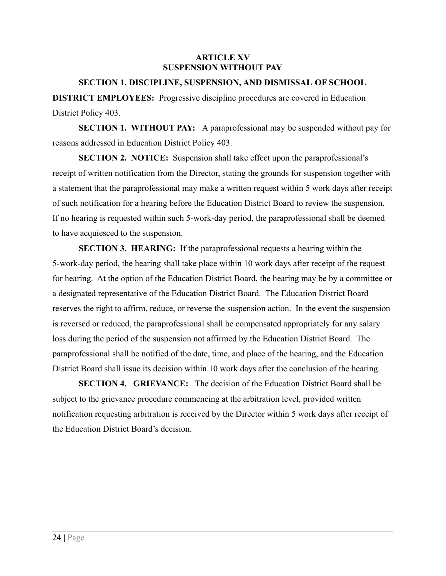#### **ARTICLE XV SUSPENSION WITHOUT PAY**

#### **SECTION 1. DISCIPLINE, SUSPENSION, AND DISMISSAL OF SCHOOL**

**DISTRICT EMPLOYEES:** Progressive discipline procedures are covered in Education District Policy 403.

**SECTION 1. WITHOUT PAY:** A paraprofessional may be suspended without pay for reasons addressed in Education District Policy 403.

**SECTION 2. NOTICE:** Suspension shall take effect upon the paraprofessional's receipt of written notification from the Director, stating the grounds for suspension together with a statement that the paraprofessional may make a written request within 5 work days after receipt of such notification for a hearing before the Education District Board to review the suspension. If no hearing is requested within such 5-work-day period, the paraprofessional shall be deemed to have acquiesced to the suspension.

**SECTION 3. HEARING:** If the paraprofessional requests a hearing within the 5-work-day period, the hearing shall take place within 10 work days after receipt of the request for hearing. At the option of the Education District Board, the hearing may be by a committee or a designated representative of the Education District Board. The Education District Board reserves the right to affirm, reduce, or reverse the suspension action. In the event the suspension is reversed or reduced, the paraprofessional shall be compensated appropriately for any salary loss during the period of the suspension not affirmed by the Education District Board. The paraprofessional shall be notified of the date, time, and place of the hearing, and the Education District Board shall issue its decision within 10 work days after the conclusion of the hearing.

**SECTION 4. GRIEVANCE:** The decision of the Education District Board shall be subject to the grievance procedure commencing at the arbitration level, provided written notification requesting arbitration is received by the Director within 5 work days after receipt of the Education District Board's decision.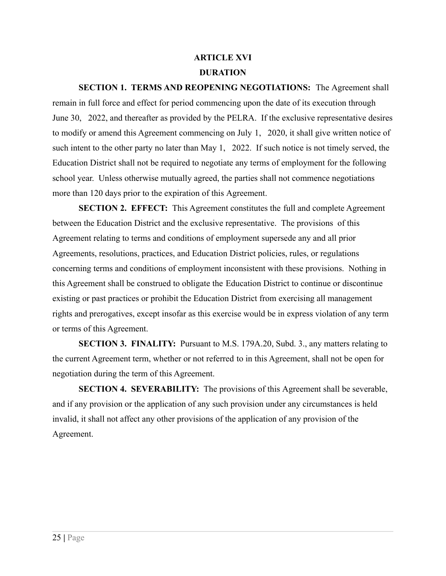# **ARTICLE XVI DURATION**

**SECTION 1. TERMS AND REOPENING NEGOTIATIONS:** The Agreement shall remain in full force and effect for period commencing upon the date of its execution through June 30, 2022, and thereafter as provided by the PELRA. If the exclusive representative desires to modify or amend this Agreement commencing on July 1, 2020, it shall give written notice of such intent to the other party no later than May 1, 2022. If such notice is not timely served, the Education District shall not be required to negotiate any terms of employment for the following school year. Unless otherwise mutually agreed, the parties shall not commence negotiations more than 120 days prior to the expiration of this Agreement.

**SECTION 2. EFFECT:** This Agreement constitutes the full and complete Agreement between the Education District and the exclusive representative. The provisions of this Agreement relating to terms and conditions of employment supersede any and all prior Agreements, resolutions, practices, and Education District policies, rules, or regulations concerning terms and conditions of employment inconsistent with these provisions. Nothing in this Agreement shall be construed to obligate the Education District to continue or discontinue existing or past practices or prohibit the Education District from exercising all management rights and prerogatives, except insofar as this exercise would be in express violation of any term or terms of this Agreement.

**SECTION 3. FINALITY:** Pursuant to M.S. 179A.20, Subd. 3., any matters relating to the current Agreement term, whether or not referred to in this Agreement, shall not be open for negotiation during the term of this Agreement.

**SECTION 4. SEVERABILITY:** The provisions of this Agreement shall be severable, and if any provision or the application of any such provision under any circumstances is held invalid, it shall not affect any other provisions of the application of any provision of the Agreement.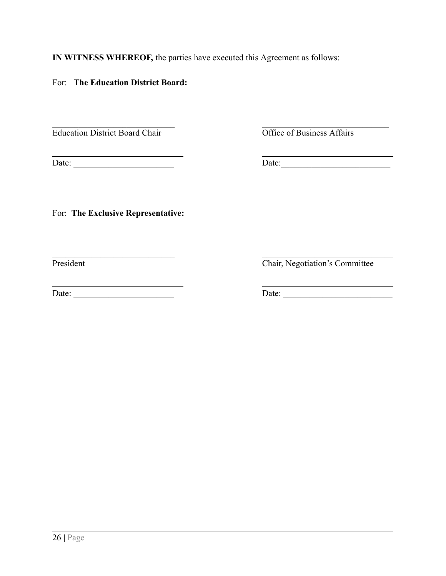**IN WITNESS WHEREOF,** the parties have executed this Agreement as follows:

For: **The Education District Board:**

 $\mathcal{L}_\text{max}$  , and the contribution of the contribution of the contribution of the contribution of the contribution of the contribution of the contribution of the contribution of the contribution of the contribution of t Education District Board Chair **Office of Business Affairs** 

<u> 1989 - Johann Barnett, fransk politiker (</u> Date: \_\_\_\_\_\_\_\_\_\_\_\_\_\_\_\_\_\_\_\_\_\_\_ Date:\_\_\_\_\_\_\_\_\_\_\_\_\_\_\_\_\_\_\_\_\_\_\_\_\_

For: **The Exclusive Representative:**

President

<u> 1989 - Johann Barn, fransk politik amerikansk politik (</u> Date: \_\_\_\_\_\_\_\_\_\_\_\_\_\_\_\_\_\_\_\_\_\_\_ Date: \_\_\_\_\_\_\_\_\_\_\_\_\_\_\_\_\_\_\_\_\_\_\_\_\_

Chair, Negotiation's Committee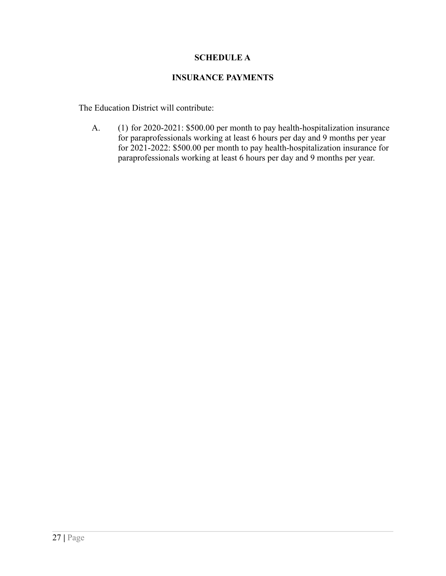### **SCHEDULE A**

### **INSURANCE PAYMENTS**

The Education District will contribute:

A. (1) for 2020-2021: \$500.00 per month to pay health-hospitalization insurance for paraprofessionals working at least 6 hours per day and 9 months per year for 2021-2022: \$500.00 per month to pay health-hospitalization insurance for paraprofessionals working at least 6 hours per day and 9 months per year.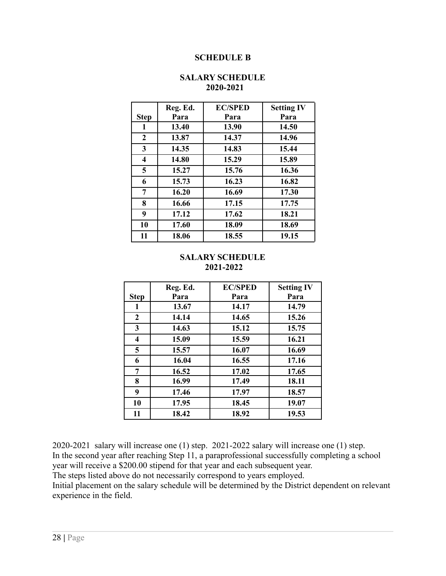#### **SCHEDULE B**

|             | Reg. Ed. | <b>EC/SPED</b> | <b>Setting IV</b> |
|-------------|----------|----------------|-------------------|
| <b>Step</b> | Para     | Para           | Para              |
| 1           | 13.40    | 13.90          | 14.50             |
| 2           | 13.87    | 14.37          | 14.96             |
| 3           | 14.35    | 14.83          | 15.44             |
| 4           | 14.80    | 15.29          | 15.89             |
| 5           | 15.27    | 15.76          | 16.36             |
| 6           | 15.73    | 16.23          | 16.82             |
| 7           | 16.20    | 16.69          | 17.30             |
| 8           | 16.66    | 17.15          | 17.75             |
| 9           | 17.12    | 17.62          | 18.21             |
| 10          | 17.60    | 18.09          | 18.69             |
| 11          | 18.06    | 18.55          | 19.15             |

#### **SALARY SCHEDULE 2020-2021**

#### **SALARY SCHEDULE 2021-2022**

|                  | Reg. Ed. | <b>EC/SPED</b> | <b>Setting IV</b> |
|------------------|----------|----------------|-------------------|
| <b>Step</b>      | Para     | Para           | Para              |
| 1                | 13.67    | 14.17          | 14.79             |
| $\boldsymbol{2}$ | 14.14    | 14.65          | 15.26             |
| 3                | 14.63    | 15.12          | 15.75             |
| 4                | 15.09    | 15.59          | 16.21             |
| 5                | 15.57    | 16.07          | 16.69             |
| 6                | 16.04    | 16.55          | 17.16             |
| 7                | 16.52    | 17.02          | 17.65             |
| 8                | 16.99    | 17.49          | 18.11             |
| 9                | 17.46    | 17.97          | 18.57             |
| 10               | 17.95    | 18.45          | 19.07             |
| 11               | 18.42    | 18.92          | 19.53             |

2020-2021 salary will increase one (1) step. 2021-2022 salary will increase one (1) step. In the second year after reaching Step 11, a paraprofessional successfully completing a school year will receive a \$200.00 stipend for that year and each subsequent year.

The steps listed above do not necessarily correspond to years employed.

Initial placement on the salary schedule will be determined by the District dependent on relevant experience in the field.